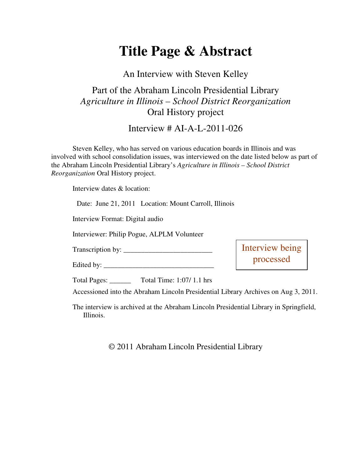## **Title Page & Abstract**

An Interview with Steven Kelley

Part of the Abraham Lincoln Presidential Library *Agriculture in Illinois – School District Reorganization* Oral History project

Interview # AI-A-L-2011-026

Steven Kelley, who has served on various education boards in Illinois and was involved with school consolidation issues, was interviewed on the date listed below as part of the Abraham Lincoln Presidential Library's *Agriculture in Illinois – School District Reorganization* Oral History project.

Interview dates & location:

Date: June 21, 2011 Location: Mount Carroll, Illinois Interview Format: Digital audio Interviewer: Philip Pogue, ALPLM Volunteer Transcription by: \_\_\_\_\_\_\_\_\_\_\_\_\_\_\_\_\_\_\_\_\_\_\_\_\_ Edited by: Total Pages: \_\_\_\_\_\_ Total Time: 1:07/ 1.1 hrs Accessioned into the Abraham Lincoln Presidential Library Archives on Aug 3, 2011. Interview being processed

The interview is archived at the Abraham Lincoln Presidential Library in Springfield, Illinois.

© 2011 Abraham Lincoln Presidential Library